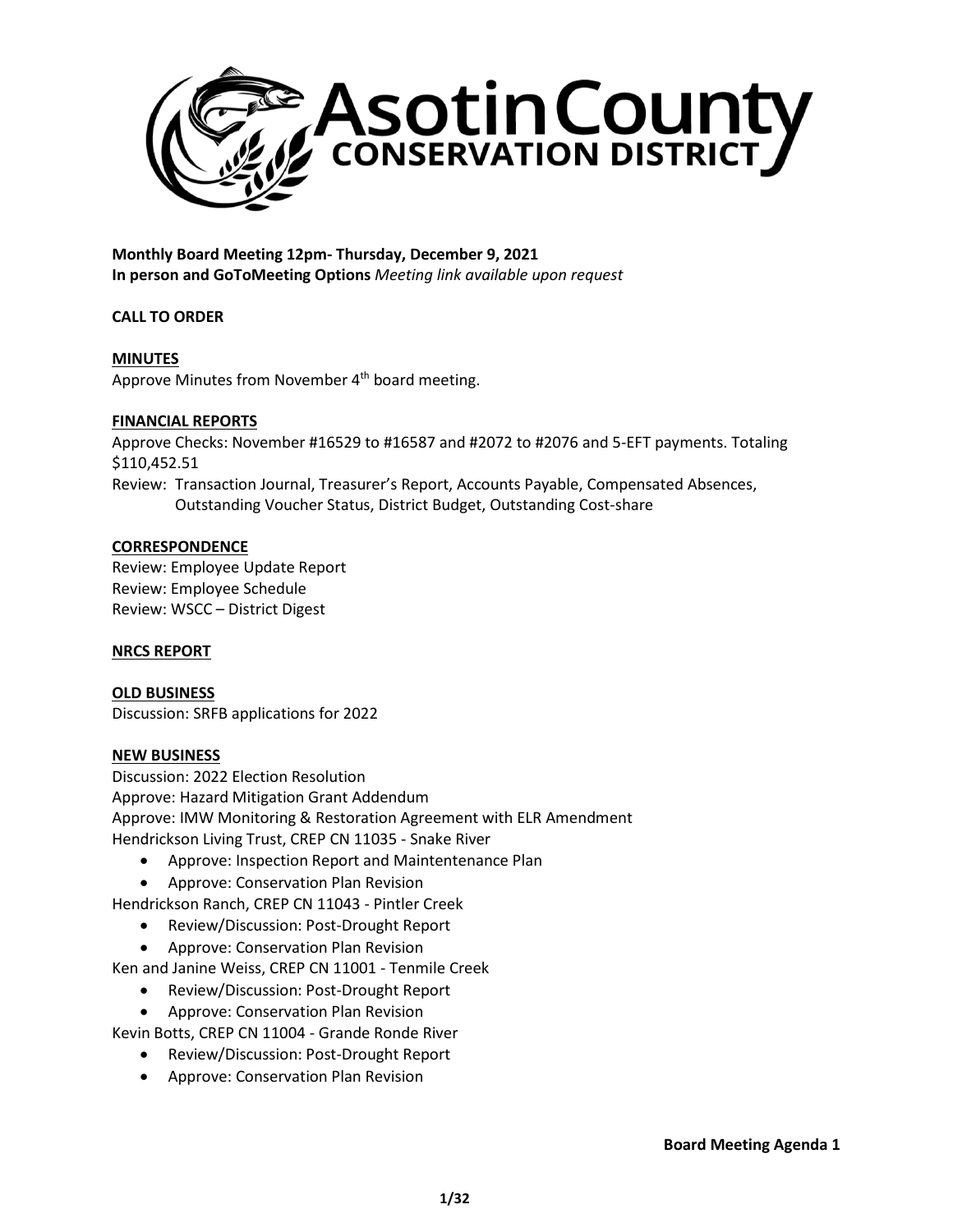

**Monthly Board Meeting 12pm- Thursday, December 9, 2021 In person and GoToMeeting Options** *Meeting link available upon request*

# **CALL TO ORDER**

# **MINUTES**

Approve Minutes from November 4<sup>th</sup> board meeting.

# **FINANCIAL REPORTS**

Approve Checks: November #16529 to #16587 and #2072 to #2076 and 5-EFT payments. Totaling \$110,452.51 Review: Transaction Journal, Treasurer's Report, Accounts Payable, Compensated Absences,

Outstanding Voucher Status, District Budget, Outstanding Cost-share

## **CORRESPONDENCE**

Review: Employee Update Report Review: Employee Schedule Review: WSCC – District Digest

## **NRCS REPORT**

**OLD BUSINESS** Discussion: SRFB applications for 2022

#### **NEW BUSINESS**

Discussion: 2022 Election Resolution Approve: Hazard Mitigation Grant Addendum Approve: IMW Monitoring & Restoration Agreement with ELR Amendment Hendrickson Living Trust, CREP CN 11035 - Snake River

- Approve: Inspection Report and Maintentenance Plan
- Approve: Conservation Plan Revision

Hendrickson Ranch, CREP CN 11043 - Pintler Creek

- Review/Discussion: Post-Drought Report
- Approve: Conservation Plan Revision

Ken and Janine Weiss, CREP CN 11001 - Tenmile Creek

- Review/Discussion: Post-Drought Report
- Approve: Conservation Plan Revision

Kevin Botts, CREP CN 11004 - Grande Ronde River

- Review/Discussion: Post-Drought Report
- Approve: Conservation Plan Revision